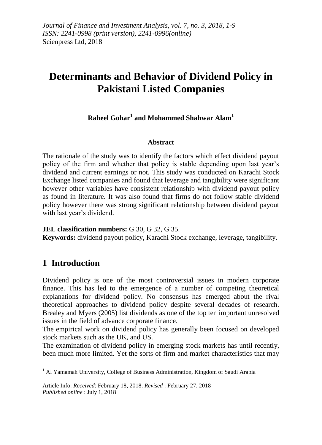*Journal of Finance and Investment Analysis, vol. 7, no. 3, 2018, 1-9 ISSN: 2241-0998 (print version), 2241-0996(online)* Scienpress Ltd, 2018

# **Determinants and Behavior of Dividend Policy in Pakistani Listed Companies**

## **Raheel Gohar<sup>1</sup> and Mohammed Shahwar Alam<sup>1</sup>**

#### **Abstract**

The rationale of the study was to identify the factors which effect dividend payout policy of the firm and whether that policy is stable depending upon last year's dividend and current earnings or not. This study was conducted on Karachi Stock Exchange listed companies and found that leverage and tangibility were significant however other variables have consistent relationship with dividend payout policy as found in literature. It was also found that firms do not follow stable dividend policy however there was strong significant relationship between dividend payout with last year's dividend.

**JEL classification numbers:** G 30, G 32, G 35. **Keywords:** dividend payout policy, Karachi Stock exchange, leverage, tangibility.

## **1 Introduction**

<u>.</u>

Dividend policy is one of the most controversial issues in modern corporate finance. This has led to the emergence of a number of competing theoretical explanations for dividend policy. No consensus has emerged about the rival theoretical approaches to dividend policy despite several decades of research. Brealey and Myers (2005) list dividends as one of the top ten important unresolved issues in the field of advance corporate finance.

The empirical work on dividend policy has generally been focused on developed stock markets such as the UK, and US.

The examination of dividend policy in emerging stock markets has until recently, been much more limited. Yet the sorts of firm and market characteristics that may

<sup>&</sup>lt;sup>1</sup> Al Yamamah University, College of Business Administration, Kingdom of Saudi Arabia

Article Info: *Received*: February 18, 2018. *Revised* : February 27, 2018 *Published online* : July 1, 2018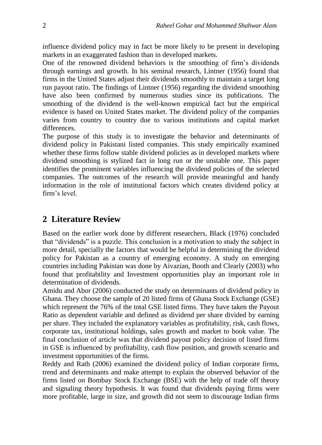influence dividend policy may in fact be more likely to be present in developing markets in an exaggerated fashion than in developed markets.

One of the renowned dividend behaviors is the smoothing of firm's dividends through earnings and growth. In his seminal research, Lintner (1956) found that firms in the United States adjust their dividends smoothly to maintain a target long run payout ratio. The findings of Lintner (1956) regarding the dividend smoothing have also been confirmed by numerous studies since its publications. The smoothing of the dividend is the well-known empirical fact but the empirical evidence is based on United States market. The dividend policy of the companies varies from country to country due to various institutions and capital market differences.

The purpose of this study is to investigate the behavior and determinants of dividend policy in Pakistani listed companies. This study empirically examined whether these firms follow stable dividend policies as in developed markets where dividend smoothing is stylized fact in long run or the unstable one. This paper identifies the prominent variables influencing the dividend policies of the selected companies. The outcomes of the research will provide meaningful and handy information in the role of institutional factors which creates dividend policy at firm's level.

## **2 Literature Review**

Based on the earlier work done by different researchers, Black (1976) concluded that "dividends" is a puzzle. This conclusion is a motivation to study the subject in more detail, specially the factors that would be helpful in determining the dividend policy for Pakistan as a country of emerging economy. A study on emerging countries including Pakistan was done by Aivazian, Booth and Clearly (2003) who found that profitability and Investment opportunities play an important role in determination of dividends.

Amidu and Abor (2006) conducted the study on determinants of dividend policy in Ghana. They choose the sample of 20 listed firms of Ghana Stock Exchange (GSE) which represent the 76% of the total GSE listed firms. They have taken the Payout Ratio as dependent variable and defined as dividend per share divided by earning per share. They included the explanatory variables as profitability, risk, cash flows, corporate tax, institutional holdings, sales growth and market to book value. The final conclusion of article was that dividend payout policy decision of listed firms in GSE is influenced by profitability, cash flow position, and growth scenario and investment opportunities of the firms.

Reddy and Rath (2006) examined the dividend policy of Indian corporate firms, trend and determinants and make attempt to explain the observed behavior of the firms listed on Bombay Stock Exchange (BSE) with the help of trade off theory and signaling theory hypothesis. It was found that dividends paying firms were more profitable, large in size, and growth did not seem to discourage Indian firms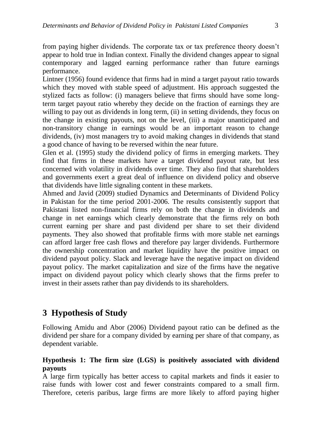from paying higher dividends. The corporate tax or tax preference theory doesn't appear to hold true in Indian context. Finally the dividend changes appear to signal contemporary and lagged earning performance rather than future earnings performance.

Lintner (1956) found evidence that firms had in mind a target payout ratio towards which they moved with stable speed of adjustment. His approach suggested the stylized facts as follow: (i) managers believe that firms should have some longterm target payout ratio whereby they decide on the fraction of earnings they are willing to pay out as dividends in long term, (ii) in setting dividends, they focus on the change in existing payouts, not on the level, (iii) a major unanticipated and non-transitory change in earnings would be an important reason to change dividends, (iv) most managers try to avoid making changes in dividends that stand a good chance of having to be reversed within the near future.

Glen et al. (1995) study the dividend policy of firms in emerging markets. They find that firms in these markets have a target dividend payout rate, but less concerned with volatility in dividends over time. They also find that shareholders and governments exert a great deal of influence on dividend policy and observe that dividends have little signaling content in these markets.

Ahmed and Javid (2009) studied Dynamics and Determinants of Dividend Policy in Pakistan for the time period 2001-2006. The results consistently support that Pakistani listed non-financial firms rely on both the change in dividends and change in net earnings which clearly demonstrate that the firms rely on both current earning per share and past dividend per share to set their dividend payments. They also showed that profitable firms with more stable net earnings can afford larger free cash flows and therefore pay larger dividends. Furthermore the ownership concentration and market liquidity have the positive impact on dividend payout policy. Slack and leverage have the negative impact on dividend payout policy. The market capitalization and size of the firms have the negative impact on dividend payout policy which clearly shows that the firms prefer to invest in their assets rather than pay dividends to its shareholders.

## **3 Hypothesis of Study**

Following Amidu and Abor (2006) Dividend payout ratio can be defined as the dividend per share for a company divided by earning per share of that company, as dependent variable.

## **Hypothesis 1: The firm size (LGS) is positively associated with dividend payouts**

A large firm typically has better access to capital markets and finds it easier to raise funds with lower cost and fewer constraints compared to a small firm. Therefore, ceteris paribus, large firms are more likely to afford paying higher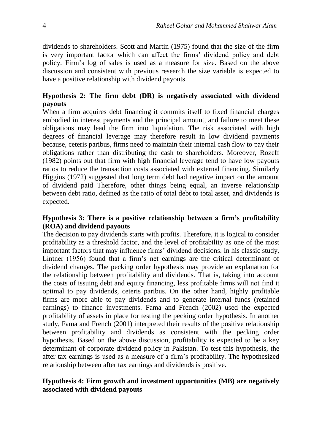dividends to shareholders. Scott and Martin (1975) found that the size of the firm is very important factor which can affect the firms' dividend policy and debt policy. Firm's log of sales is used as a measure for size. Based on the above discussion and consistent with previous research the size variable is expected to have a positive relationship with dividend payouts.

## **Hypothesis 2: The firm debt (DR) is negatively associated with dividend payouts**

When a firm acquires debt financing it commits itself to fixed financial charges embodied in interest payments and the principal amount, and failure to meet these obligations may lead the firm into liquidation. The risk associated with high degrees of financial leverage may therefore result in low dividend payments because, ceteris paribus, firms need to maintain their internal cash flow to pay their obligations rather than distributing the cash to shareholders. Moreover, Rozeff (1982) points out that firm with high financial leverage tend to have low payouts ratios to reduce the transaction costs associated with external financing. Similarly Higgins (1972) suggested that long term debt had negative impact on the amount of dividend paid Therefore, other things being equal, an inverse relationship between debt ratio, defined as the ratio of total debt to total asset, and dividends is expected.

#### **Hypothesis 3: There is a positive relationship between a firm's profitability (ROA) and dividend payouts**

The decision to pay dividends starts with profits. Therefore, it is logical to consider profitability as a threshold factor, and the level of profitability as one of the most important factors that may influence firms' dividend decisions. In his classic study, Lintner (1956) found that a firm's net earnings are the critical determinant of dividend changes. The pecking order hypothesis may provide an explanation for the relationship between profitability and dividends. That is, taking into account the costs of issuing debt and equity financing, less profitable firms will not find it optimal to pay dividends, ceteris paribus. On the other hand, highly profitable firms are more able to pay dividends and to generate internal funds (retained earnings) to finance investments. Fama and French (2002) used the expected profitability of assets in place for testing the pecking order hypothesis. In another study, Fama and French (2001) interpreted their results of the positive relationship between profitability and dividends as consistent with the pecking order hypothesis. Based on the above discussion, profitability is expected to be a key determinant of corporate dividend policy in Pakistan. To test this hypothesis, the after tax earnings is used as a measure of a firm's profitability. The hypothesized relationship between after tax earnings and dividends is positive.

### **Hypothesis 4: Firm growth and investment opportunities (MB) are negatively associated with dividend payouts**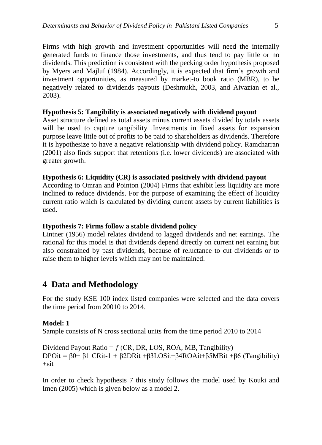Firms with high growth and investment opportunities will need the internally generated funds to finance those investments, and thus tend to pay little or no dividends. This prediction is consistent with the pecking order hypothesis proposed by Myers and Majluf (1984). Accordingly, it is expected that firm's growth and investment opportunities, as measured by market-to book ratio (MBR), to be negatively related to dividends payouts (Deshmukh, 2003, and Aivazian et al., 2003).

#### **Hypothesis 5: Tangibility is associated negatively with dividend payout**

Asset structure defined as total assets minus current assets divided by totals assets will be used to capture tangibility .Investments in fixed assets for expansion purpose leave little out of profits to be paid to shareholders as dividends. Therefore it is hypothesize to have a negative relationship with dividend policy. Ramcharran (2001) also finds support that retentions (i.e. lower dividends) are associated with greater growth.

#### **Hypothesis 6: Liquidity (CR) is associated positively with dividend payout**

According to Omran and Pointon (2004) Firms that exhibit less liquidity are more inclined to reduce dividends. For the purpose of examining the effect of liquidity current ratio which is calculated by dividing current assets by current liabilities is used.

#### **Hypothesis 7: Firms follow a stable dividend policy**

Lintner (1956) model relates dividend to lagged dividends and net earnings. The rational for this model is that dividends depend directly on current net earning but also constrained by past dividends, because of reluctance to cut dividends or to raise them to higher levels which may not be maintained.

## **4 Data and Methodology**

For the study KSE 100 index listed companies were selected and the data covers the time period from 20010 to 2014.

#### **Model: 1**

Sample consists of N cross sectional units from the time period 2010 to 2014

Dividend Payout Ratio =  $f$  (CR, DR, LOS, ROA, MB, Tangibility) DPOit =  $\beta$ 0+  $\beta$ 1 CRit-1 +  $\beta$ 2DRit + $\beta$ 3LOSit+ $\beta$ 4ROAit+ $\beta$ 5MBit + $\beta$ 6 (Tangibility)  $+$ εit

In order to check hypothesis 7 this study follows the model used by Kouki and Imen (2005) which is given below as a model 2.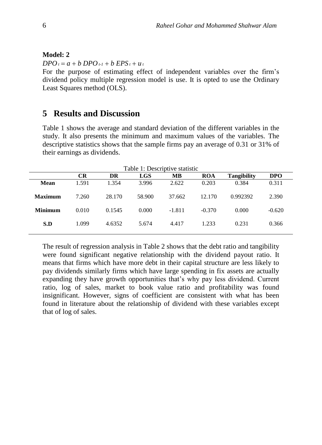#### **Model: 2**

 $DPO_t = a + b \, DPO_{t-1} + b \, EPS_t + u_t$ 

For the purpose of estimating effect of independent variables over the firm's dividend policy multiple regression model is use. It is opted to use the Ordinary Least Squares method (OLS).

## **5 Results and Discussion**

Table 1 shows the average and standard deviation of the different variables in the study. It also presents the minimum and maximum values of the variables. The descriptive statistics shows that the sample firms pay an average of 0.31 or 31% of their earnings as dividends.

| Table 1: Descriptive statistic |           |        |            |          |            |                    |            |  |
|--------------------------------|-----------|--------|------------|----------|------------|--------------------|------------|--|
|                                | <b>CR</b> | DR     | <b>LGS</b> | MВ       | <b>ROA</b> | <b>Tangibility</b> | <b>DPO</b> |  |
| Mean                           | 1.591     | 1.354  | 3.996      | 2.622    | 0.203      | 0.384              | 0.311      |  |
| Maximum                        | 7.260     | 28.170 | 58.900     | 37.662   | 12.170     | 0.992392           | 2.390      |  |
| <b>Minimum</b>                 | 0.010     | 0.1545 | 0.000      | $-1.811$ | $-0.370$   | 0.000              | $-0.620$   |  |
| S.D                            | 1.099     | 4.6352 | 5.674      | 4.417    | 1.233      | 0.231              | 0.366      |  |

The result of regression analysis in Table 2 shows that the debt ratio and tangibility were found significant negative relationship with the dividend payout ratio. It means that firms which have more debt in their capital structure are less likely to pay dividends similarly firms which have large spending in fix assets are actually expanding they have growth opportunities that's why pay less dividend. Current ratio, log of sales, market to book value ratio and profitability was found insignificant. However, signs of coefficient are consistent with what has been found in literature about the relationship of dividend with these variables except that of log of sales.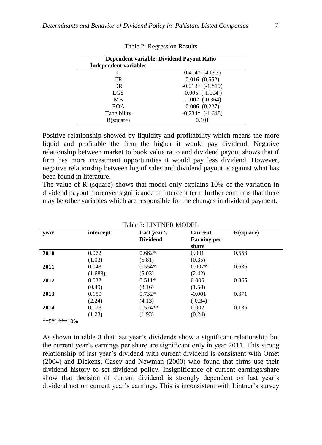| <b>Independent variables</b> | Dependent variable: Dividend Payout Ratio |
|------------------------------|-------------------------------------------|
| C                            | $0.414*$ (4.097)                          |
| CR.                          | 0.016(0.552)                              |
| DR.                          | $-0.013*$ $(-1.819)$                      |
| LGS                          | $-0.005$ $(-1.004)$                       |
| MB                           | $-0.002$ $(-0.364)$                       |
| <b>ROA</b>                   | $0.006$ $(0.227)$                         |
| Tangibility                  | $-0.234*$ $(-1.648)$                      |
| R(square)                    | 0.101                                     |

Table 2: Regression Results

Positive relationship showed by liquidity and profitability which means the more liquid and profitable the firm the higher it would pay dividend. Negative relationship between market to book value ratio and dividend payout shows that if firm has more investment opportunities it would pay less dividend. However, negative relationship between log of sales and dividend payout is against what has been found in literature.

The value of R (square) shows that model only explains 10% of the variation in dividend payout moreover significance of intercept term further confirms that there may be other variables which are responsible for the changes in dividend payment.

| Table 3: LINTNER MODEL |           |                 |                    |           |  |  |  |  |
|------------------------|-----------|-----------------|--------------------|-----------|--|--|--|--|
| year                   | intercept | Last year's     | <b>Current</b>     | R(square) |  |  |  |  |
|                        |           | <b>Dividend</b> | <b>Earning per</b> |           |  |  |  |  |
|                        |           |                 | share              |           |  |  |  |  |
| 2010                   | 0.072     | $0.662*$        | 0.001              | 0.553     |  |  |  |  |
|                        | (1.03)    | (5.81)          | (0.35)             |           |  |  |  |  |
| 2011                   | 0.043     | $0.554*$        | $0.007*$           | 0.636     |  |  |  |  |
|                        | (1.688)   | (5.03)          | (2.42)             |           |  |  |  |  |
| 2012                   | 0.033     | $0.511*$        | 0.006              | 0.365     |  |  |  |  |
|                        | (0.49)    | (3.16)          | (1.58)             |           |  |  |  |  |
| 2013                   | 0.159     | $0.732*$        | $-0.001$           | 0.371     |  |  |  |  |
|                        | (2.24)    | (4.13)          | $(-0.34)$          |           |  |  |  |  |
| 2014                   | 0.173     | $0.574**$       | 0.002              | 0.135     |  |  |  |  |
|                        | (1.23)    | (1.93)          | (0.24)             |           |  |  |  |  |

 $* = 5\% ** = 10\%$ 

As shown in table 3 that last year's dividends show a significant relationship but the current year's earnings per share are significant only in year 2011. This strong relationship of last year's dividend with current dividend is consistent with Omet (2004) and Dickens, Casey and Newman (2000) who found that firms use their dividend history to set dividend policy. Insignificance of current earnings/share show that decision of current dividend is strongly dependent on last year's dividend not on current year's earnings. This is inconsistent with Lintner's survey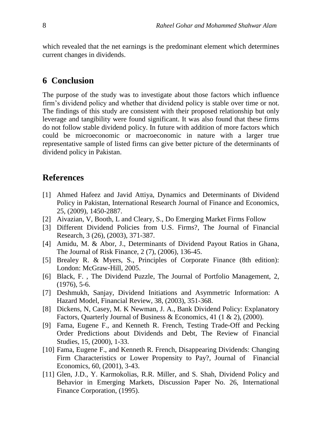which revealed that the net earnings is the predominant element which determines current changes in dividends.

## **6 Conclusion**

The purpose of the study was to investigate about those factors which influence firm's dividend policy and whether that dividend policy is stable over time or not. The findings of this study are consistent with their proposed relationship but only leverage and tangibility were found significant. It was also found that these firms do not follow stable dividend policy. In future with addition of more factors which could be microeconomic or macroeconomic in nature with a larger true representative sample of listed firms can give better picture of the determinants of dividend policy in Pakistan.

### **References**

- [1] Ahmed Hafeez and Javid Attiya, Dynamics and Determinants of Dividend Policy in Pakistan, International Research Journal of Finance and Economics, 25, (2009), 1450-2887.
- [2] Aivazian, V, Booth, L and Cleary, S., Do Emerging Market Firms Follow
- [3] Different Dividend Policies from U.S. Firms?, The Journal of Financial Research, 3 (26), (2003), 371-387.
- [4] Amidu, M. & Abor, J., Determinants of Dividend Payout Ratios in Ghana, The Journal of Risk Finance, 2 (7), (2006), 136-45.
- [5] Brealey R. & Myers, S., Principles of Corporate Finance (8th edition): London: McGraw-Hill, 2005.
- [6] Black, F. , The Dividend Puzzle, The Journal of Portfolio Management, 2, (1976), 5-6.
- [7] Deshmukh, Sanjay, Dividend Initiations and Asymmetric Information: A Hazard Model, Financial Review, 38, (2003), 351-368.
- [8] Dickens, N, Casey, M. K Newman, J. A., Bank Dividend Policy: Explanatory Factors, Quarterly Journal of Business & Economics, 41 (1 & 2), (2000).
- [9] Fama, Eugene F., and Kenneth R. French, Testing Trade-Off and Pecking Order Predictions about Dividends and Debt, The Review of Financial Studies, 15, (2000), 1-33.
- [10] Fama, Eugene F., and Kenneth R. French, Disappearing Dividends: Changing Firm Characteristics or Lower Propensity to Pay?, Journal of Financial Economics, 60, (2001), 3-43.
- [11] Glen, J.D., Y. Karmokolias, R.R. Miller, and S. Shah, Dividend Policy and Behavior in Emerging Markets, Discussion Paper No. 26, International Finance Corporation, (1995).